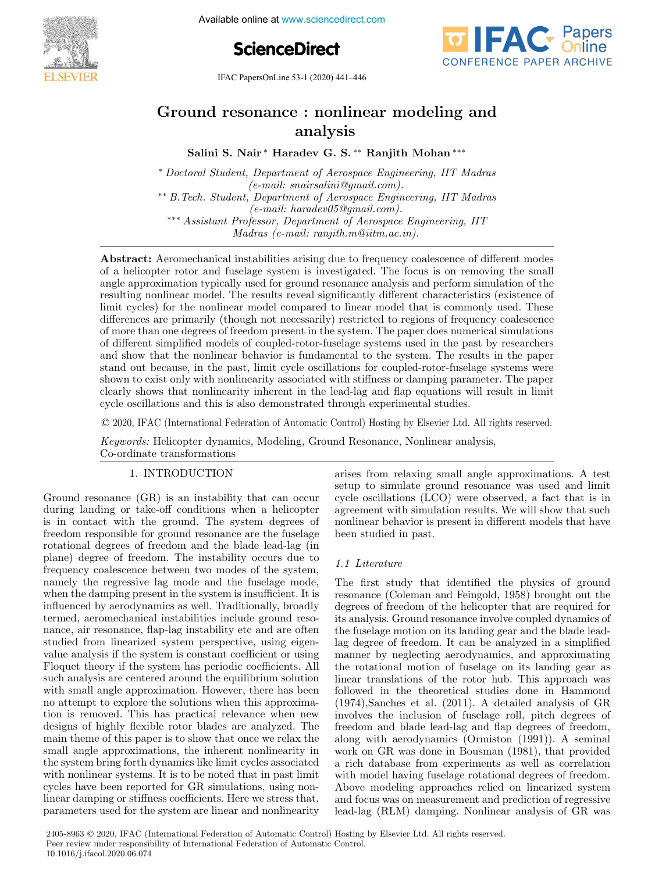

Available online at www.sciencedirect.com





IFAC PapersOnLine 53-1 (2020) 441–446

# Ground resonance : nonlinear modeling and analysis

Salini S. Nair <sup>∗</sup> Haradev G. S. ∗∗ Ranjith Mohan ∗∗∗

<sup>∗</sup> Doctoral Student, Department of Aerospace Engineering, IIT Madras (e-mail: snairsalini@gmail.com). ∗∗ B.Tech. Student, Department of Aerospace Engineering, IIT Madras (e-mail: haradev05@gmail.com). ∗∗∗ Assistant Professor, Department of Aerospace Engineering, IIT Madras (e-mail: ranjith.m@iitm.ac.in).

Abstract: Aeromechanical instabilities arising due to frequency coalescence of different modes of a helicopter rotor and fuselage system is investigated. The focus is on removing the small angle approximation typically used for ground resonance analysis and perform simulation of the resulting nonlinear model. The results reveal significantly different characteristics (existence of limit cycles) for the nonlinear model compared to linear model that is commonly used. These differences are primarily (though not necessarily) restricted to regions of frequency coalescence of more than one degrees of freedom present in the system. The paper does numerical simulations of different simplified models of coupled-rotor-fuselage systems used in the past by researchers and show that the nonlinear behavior is fundamental to the system. The results in the paper stand out because, in the past, limit cycle oscillations for coupled-rotor-fuselage systems were shown to exist only with nonlinearity associated with stiffness or damping parameter. The paper clearly shows that nonlinearity inherent in the lead-lag and flap equations will result in limit cycle oscillations and this is also demonstrated through experimental studies.

© 2020, IFAC (International Federation of Automatic Control) Hosting by Elsevier Ltd. All rights reserved.

Keywords: Helicopter dynamics, Modeling, Ground Resonance, Nonlinear analysis, Co-ordinate transformations

## 1. INTRODUCTION

Ground resonance (GR) is an instability that can occur during landing or take-off conditions when a helicopter is in contact with the ground. The system degrees of freedom responsible for ground resonance are the fuselage rotational degrees of freedom and the blade lead-lag (in plane) degree of freedom. The instability occurs due to frequency coalescence between two modes of the system, namely the regressive lag mode and the fuselage mode, when the damping present in the system is insufficient. It is influenced by aerodynamics as well. Traditionally, broadly termed, aeromechanical instabilities include ground resonance, air resonance, flap-lag instability etc and are often studied from linearized system perspective, using eigenvalue analysis if the system is constant coefficient or using Floquet theory if the system has periodic coefficients. All such analysis are centered around the equilibrium solution with small angle approximation. However, there has been no attempt to explore the solutions when this approximation is removed. This has practical relevance when new designs of highly flexible rotor blades are analyzed. The main theme of this paper is to show that once we relax the small angle approximations, the inherent nonlinearity in the system bring forth dynamics like limit cycles associated with nonlinear systems. It is to be noted that in past limit cycles have been reported for GR simulations, using nonlinear damping or stiffness coefficients. Here we stress that, parameters used for the system are linear and nonlinearity arises from relaxing small angle approximations. A test setup to simulate ground resonance was used and limit cycle oscillations (LCO) were observed, a fact that is in agreement with simulation results. We will show that such nonlinear behavior is present in different models that have been studied in past.

# 1.1 Literature

The first study that identified the physics of ground resonance (Coleman and Feingold, 1958) brought out the degrees of freedom of the helicopter that are required for its analysis. Ground resonance involve coupled dynamics of the fuselage motion on its landing gear and the blade leadlag degree of freedom. It can be analyzed in a simplified manner by neglecting aerodynamics, and approximating the rotational motion of fuselage on its landing gear as linear translations of the rotor hub. This approach was followed in the theoretical studies done in Hammond (1974),Sanches et al. (2011). A detailed analysis of GR involves the inclusion of fuselage roll, pitch degrees of freedom and blade lead-lag and flap degrees of freedom, along with aerodynamics (Ormiston (1991)). A seminal work on GR was done in Bousman (1981), that provided a rich database from experiments as well as correlation with model having fuselage rotational degrees of freedom. Above modeling approaches relied on linearized system and focus was on measurement and prediction of regressive lead-lag (RLM) damping. Nonlinear analysis of GR was

2405-8963 © 2020, IFAC (International Federation of Automatic Control) Hosting by Elsevier Ltd. All rights reserved. Peer review under responsibility of International Federation of Automatic Control. 10.1016/j.ifacol.2020.06.074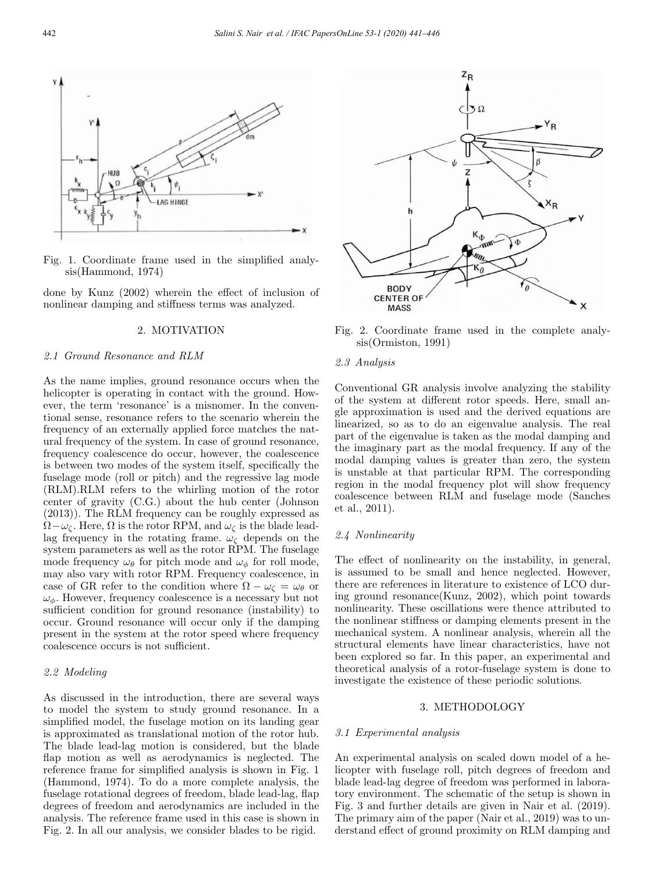

Fig. 1. Coordinate frame used in the simplified analysis(Hammond, 1974)

done by Kunz (2002) wherein the effect of inclusion of nonlinear damping and stiffness terms was analyzed.

#### 2. MOTIVATION

## 2.1 Ground Resonance and RLM

As the name implies, ground resonance occurs when the helicopter is operating in contact with the ground. However, the term 'resonance' is a misnomer. In the conventional sense, resonance refers to the scenario wherein the frequency of an externally applied force matches the natural frequency of the system. In case of ground resonance, frequency coalescence do occur, however, the coalescence is between two modes of the system itself, specifically the fuselage mode (roll or pitch) and the regressive lag mode (RLM).RLM refers to the whirling motion of the rotor center of gravity (C.G.) about the hub center (Johnson (2013)). The RLM frequency can be roughly expressed as  $\Omega-\omega_c$ . Here,  $\Omega$  is the rotor RPM, and  $\omega_c$  is the blade leadlag frequency in the rotating frame.  $\omega_{\zeta}$  depends on the system parameters as well as the rotor RPM. The fuselage mode frequency  $\omega_{\theta}$  for pitch mode and  $\omega_{\phi}$  for roll mode, may also vary with rotor RPM. Frequency coalescence, in case of GR refer to the condition where  $\Omega - \omega_c = \omega_\theta$  or  $\omega_{\phi}$ . However, frequency coalescence is a necessary but not sufficient condition for ground resonance (instability) to occur. Ground resonance will occur only if the damping present in the system at the rotor speed where frequency coalescence occurs is not sufficient.

# 2.2 Modeling

As discussed in the introduction, there are several ways to model the system to study ground resonance. In a simplified model, the fuselage motion on its landing gear is approximated as translational motion of the rotor hub. The blade lead-lag motion is considered, but the blade flap motion as well as aerodynamics is neglected. The reference frame for simplified analysis is shown in Fig. 1 (Hammond, 1974). To do a more complete analysis, the fuselage rotational degrees of freedom, blade lead-lag, flap degrees of freedom and aerodynamics are included in the analysis. The reference frame used in this case is shown in Fig. 2. In all our analysis, we consider blades to be rigid.



Fig. 2. Coordinate frame used in the complete analysis(Ormiston, 1991)

## 2.3 Analysis

Conventional GR analysis involve analyzing the stability of the system at different rotor speeds. Here, small angle approximation is used and the derived equations are linearized, so as to do an eigenvalue analysis. The real part of the eigenvalue is taken as the modal damping and the imaginary part as the modal frequency. If any of the modal damping values is greater than zero, the system is unstable at that particular RPM. The corresponding region in the modal frequency plot will show frequency coalescence between RLM and fuselage mode (Sanches et al., 2011).

#### 2.4 Nonlinearity

The effect of nonlinearity on the instability, in general, is assumed to be small and hence neglected. However, there are references in literature to existence of LCO during ground resonance(Kunz, 2002), which point towards nonlinearity. These oscillations were thence attributed to the nonlinear stiffness or damping elements present in the mechanical system. A nonlinear analysis, wherein all the structural elements have linear characteristics, have not been explored so far. In this paper, an experimental and theoretical analysis of a rotor-fuselage system is done to investigate the existence of these periodic solutions.

#### 3. METHODOLOGY

#### 3.1 Experimental analysis

An experimental analysis on scaled down model of a helicopter with fuselage roll, pitch degrees of freedom and blade lead-lag degree of freedom was performed in laboratory environment. The schematic of the setup is shown in Fig. 3 and further details are given in Nair et al. (2019). The primary aim of the paper (Nair et al., 2019) was to understand effect of ground proximity on RLM damping and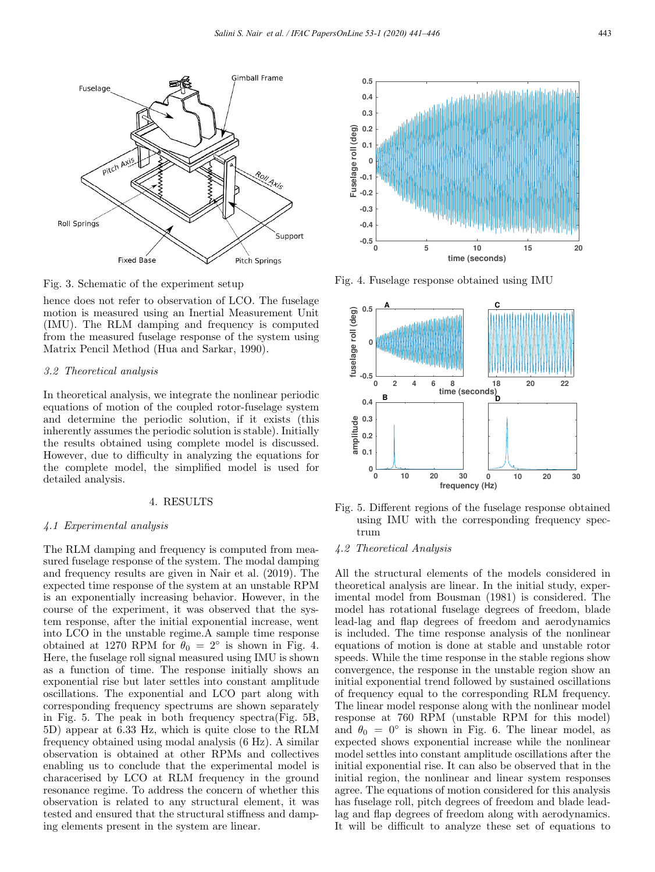

Fig. 3. Schematic of the experiment setup

hence does not refer to observation of LCO. The fuselage motion is measured using an Inertial Measurement Unit (IMU). The RLM damping and frequency is computed from the measured fuselage response of the system using Matrix Pencil Method (Hua and Sarkar, 1990).

#### 3.2 Theoretical analysis

In theoretical analysis, we integrate the nonlinear periodic equations of motion of the coupled rotor-fuselage system and determine the periodic solution, if it exists (this inherently assumes the periodic solution is stable). Initially the results obtained using complete model is discussed. However, due to difficulty in analyzing the equations for the complete model, the simplified model is used for detailed analysis.

## 4. RESULTS

#### 4.1 Experimental analysis

The RLM damping and frequency is computed from measured fuselage response of the system. The modal damping and frequency results are given in Nair et al. (2019). The expected time response of the system at an unstable RPM is an exponentially increasing behavior. However, in the course of the experiment, it was observed that the system response, after the initial exponential increase, went into LCO in the unstable regime.A sample time response obtained at 1270 RPM for  $\theta_0 = 2^\circ$  is shown in Fig. 4. Here, the fuselage roll signal measured using IMU is shown as a function of time. The response initially shows an exponential rise but later settles into constant amplitude oscillations. The exponential and LCO part along with corresponding frequency spectrums are shown separately in Fig. 5. The peak in both frequency spectra(Fig. 5B, 5D) appear at 6.33 Hz, which is quite close to the RLM frequency obtained using modal analysis (6 Hz). A similar observation is obtained at other RPMs and collectives enabling us to conclude that the experimental model is characerised by LCO at RLM frequency in the ground resonance regime. To address the concern of whether this observation is related to any structural element, it was tested and ensured that the structural stiffness and damping elements present in the system are linear.



Fig. 4. Fuselage response obtained using IMU



Fig. 5. Different regions of the fuselage response obtained using IMU with the corresponding frequency spectrum

## 4.2 Theoretical Analysis

All the structural elements of the models considered in theoretical analysis are linear. In the initial study, experimental model from Bousman (1981) is considered. The model has rotational fuselage degrees of freedom, blade lead-lag and flap degrees of freedom and aerodynamics is included. The time response analysis of the nonlinear equations of motion is done at stable and unstable rotor speeds. While the time response in the stable regions show convergence, the response in the unstable region show an initial exponential trend followed by sustained oscillations of frequency equal to the corresponding RLM frequency. The linear model response along with the nonlinear model response at 760 RPM (unstable RPM for this model) and  $\theta_0 = 0^\circ$  is shown in Fig. 6. The linear model, as expected shows exponential increase while the nonlinear model settles into constant amplitude oscillations after the initial exponential rise. It can also be observed that in the initial region, the nonlinear and linear system responses agree. The equations of motion considered for this analysis has fuselage roll, pitch degrees of freedom and blade leadlag and flap degrees of freedom along with aerodynamics. It will be difficult to analyze these set of equations to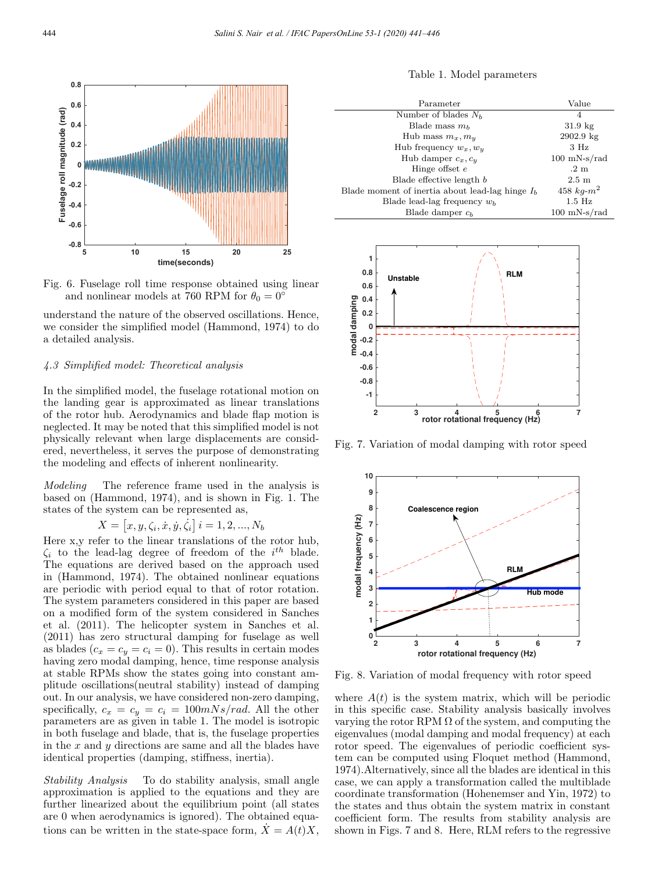

Fig. 6. Fuselage roll time response obtained using linear and nonlinear models at 760 RPM for  $\theta_0 = 0^\circ$ 

understand the nature of the observed oscillations. Hence, we consider the simplified model (Hammond, 1974) to do a detailed analysis.

#### 4.3 Simplified model: Theoretical analysis

In the simplified model, the fuselage rotational motion on the landing gear is approximated as linear translations of the rotor hub. Aerodynamics and blade flap motion is neglected. It may be noted that this simplified model is not physically relevant when large displacements are considered, nevertheless, it serves the purpose of demonstrating the modeling and effects of inherent nonlinearity.

Modeling The reference frame used in the analysis is based on (Hammond, 1974), and is shown in Fig. 1. The states of the system can be represented as,

$$
X = [x, y, \zeta_i, \dot{x}, \dot{y}, \dot{\zeta}_i] \ i = 1, 2, ..., N_b
$$

Here x,y refer to the linear translations of the rotor hub,  $\zeta_i$  to the lead-lag degree of freedom of the  $i^{th}$  blade. The equations are derived based on the approach used in (Hammond, 1974). The obtained nonlinear equations are periodic with period equal to that of rotor rotation. The system parameters considered in this paper are based on a modified form of the system considered in Sanches et al. (2011). The helicopter system in Sanches et al. (2011) has zero structural damping for fuselage as well as blades  $(c_x = c_y = c_i = 0)$ . This results in certain modes having zero modal damping, hence, time response analysis at stable RPMs show the states going into constant amplitude oscillations(neutral stability) instead of damping out. In our analysis, we have considered non-zero damping, specifically,  $c_x = c_y = c_i = 100mNs/rad$ . All the other parameters are as given in table 1. The model is isotropic in both fuselage and blade, that is, the fuselage properties in the  $x$  and  $y$  directions are same and all the blades have identical properties (damping, stiffness, inertia).

Stability Analysis To do stability analysis, small angle approximation is applied to the equations and they are further linearized about the equilibrium point (all states are 0 when aerodynamics is ignored). The obtained equations can be written in the state-space form,  $\dot{X} = A(t)X$ ,

Table 1. Model parameters

| Parameter                                         | Value                  |
|---------------------------------------------------|------------------------|
| Number of blades $N_h$                            | 4                      |
| Blade mass $m_h$                                  | $31.9 \text{ kg}$      |
| Hub mass $m_x, m_y$                               | $2902.9 \text{ kg}$    |
| Hub frequency $w_x, w_y$                          | 3 Hz                   |
| Hub damper $c_x, c_y$                             | $100 \text{ mN-s/rad}$ |
| Hinge offset $e$                                  | $.2\text{ m}$          |
| Blade effective length b                          | $2.5 \text{ m}$        |
| Blade moment of inertia about lead-lag hinge $Ib$ | 458 $kq-m^2$           |
| Blade lead-lag frequency $w_b$                    | $1.5$ Hz               |
| Blade damper $c_h$                                | $100 \text{ mN-s/rad}$ |



Fig. 7. Variation of modal damping with rotor speed



Fig. 8. Variation of modal frequency with rotor speed

where  $A(t)$  is the system matrix, which will be periodic in this specific case. Stability analysis basically involves varying the rotor RPM  $\Omega$  of the system, and computing the eigenvalues (modal damping and modal frequency) at each rotor speed. The eigenvalues of periodic coefficient system can be computed using Floquet method (Hammond, 1974).Alternatively, since all the blades are identical in this case, we can apply a transformation called the multiblade coordinate transformation (Hohenemser and Yin, 1972) to the states and thus obtain the system matrix in constant coefficient form. The results from stability analysis are shown in Figs. 7 and 8. Here, RLM refers to the regressive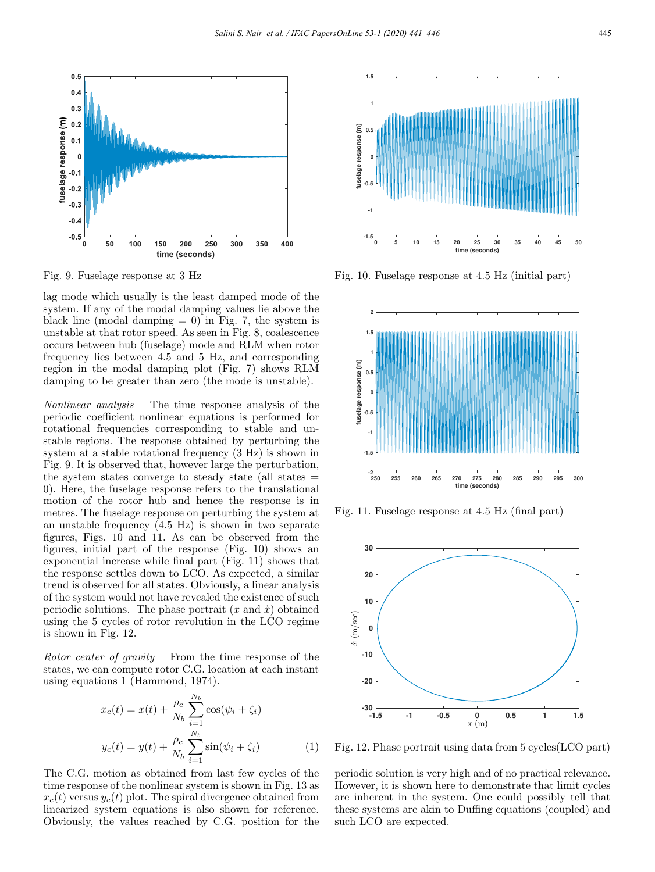

Fig. 9. Fuselage response at 3 Hz

lag mode which usually is the least damped mode of the system. If any of the modal damping values lie above the black line (modal damping  $= 0$ ) in Fig. 7, the system is unstable at that rotor speed. As seen in Fig. 8, coalescence occurs between hub (fuselage) mode and RLM when rotor frequency lies between 4.5 and 5 Hz, and corresponding region in the modal damping plot (Fig. 7) shows RLM damping to be greater than zero (the mode is unstable).

Nonlinear analysis The time response analysis of the periodic coefficient nonlinear equations is performed for rotational frequencies corresponding to stable and unstable regions. The response obtained by perturbing the system at a stable rotational frequency (3 Hz) is shown in Fig. 9. It is observed that, however large the perturbation, the system states converge to steady state (all states  $=$ 0). Here, the fuselage response refers to the translational motion of the rotor hub and hence the response is in metres. The fuselage response on perturbing the system at an unstable frequency (4.5 Hz) is shown in two separate figures, Figs. 10 and 11. As can be observed from the figures, initial part of the response (Fig. 10) shows an exponential increase while final part (Fig. 11) shows that the response settles down to LCO. As expected, a similar trend is observed for all states. Obviously, a linear analysis of the system would not have revealed the existence of such periodic solutions. The phase portrait  $(x \text{ and } \dot{x})$  obtained using the 5 cycles of rotor revolution in the LCO regime is shown in Fig. 12.

Rotor center of gravity From the time response of the states, we can compute rotor C.G. location at each instant using equations 1 (Hammond, 1974).

$$
x_c(t) = x(t) + \frac{\rho_c}{N_b} \sum_{i=1}^{N_b} \cos(\psi_i + \zeta_i)
$$
  

$$
y_c(t) = y(t) + \frac{\rho_c}{N_b} \sum_{i=1}^{N_b} \sin(\psi_i + \zeta_i)
$$
 (1)

The C.G. motion as obtained from last few cycles of the time response of the nonlinear system is shown in Fig. 13 as  $x_c(t)$  versus  $y_c(t)$  plot. The spiral divergence obtained from linearized system equations is also shown for reference. Obviously, the values reached by C.G. position for the



Fig. 10. Fuselage response at 4.5 Hz (initial part)



Fig. 11. Fuselage response at 4.5 Hz (final part)



Fig. 12. Phase portrait using data from 5 cycles(LCO part)

periodic solution is very high and of no practical relevance. However, it is shown here to demonstrate that limit cycles are inherent in the system. One could possibly tell that these systems are akin to Duffing equations (coupled) and such LCO are expected.